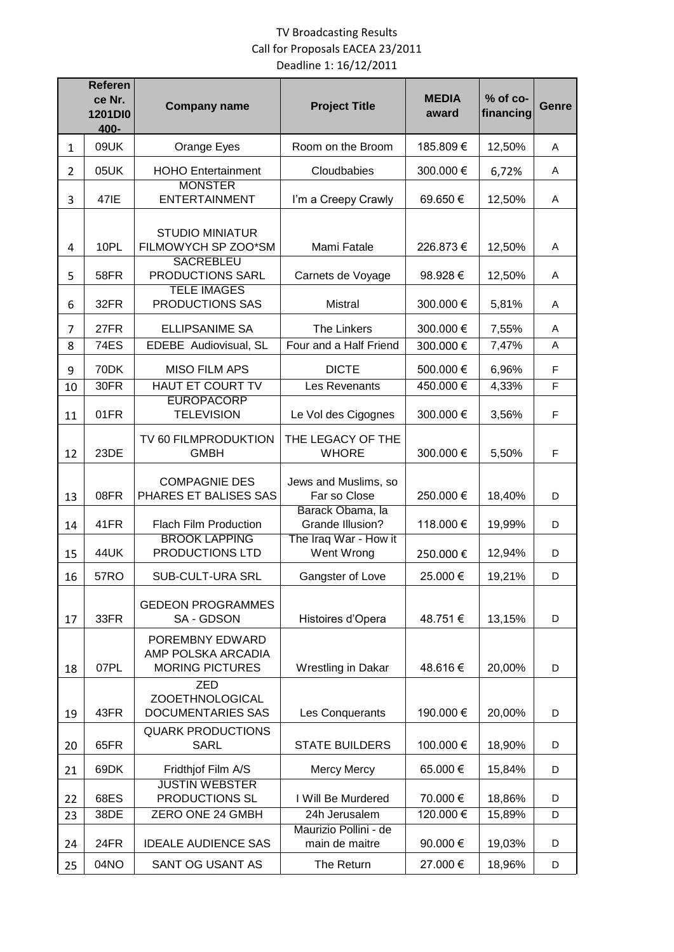## TV Broadcasting Results Call for Proposals EACEA 23/2011 Deadline 1: 16/12/2011

|                | <b>Referen</b><br>ce Nr.<br>1201DI0<br>400- | <b>Company name</b>                                              | <b>Project Title</b>                    | <b>MEDIA</b><br>award | % of co-<br>financing | <b>Genre</b> |
|----------------|---------------------------------------------|------------------------------------------------------------------|-----------------------------------------|-----------------------|-----------------------|--------------|
| $\mathbf{1}$   | 09UK                                        | Orange Eyes                                                      | Room on the Broom                       | 185.809€              | 12,50%                | A            |
| $\overline{2}$ | 05UK                                        | <b>HOHO Entertainment</b>                                        | Cloudbabies                             | 300.000€              | 6,72%                 | Α            |
| 3              | 471E                                        | <b>MONSTER</b><br><b>ENTERTAINMENT</b>                           | I'm a Creepy Crawly                     | 69.650€               | 12,50%                | A            |
| 4              | 10PL                                        | <b>STUDIO MINIATUR</b><br>FILMOWYCH SP ZOO*SM                    | Mami Fatale                             | 226.873€              | 12,50%                | Α            |
| 5              | 58FR                                        | <b>SACREBLEU</b><br>PRODUCTIONS SARL<br><b>TELE IMAGES</b>       | Carnets de Voyage                       | 98.928€               | 12,50%                | Α            |
| 6              | 32FR                                        | PRODUCTIONS SAS                                                  | <b>Mistral</b>                          | 300.000€              | 5,81%                 | Α            |
| 7              | 27FR                                        | <b>ELLIPSANIME SA</b>                                            | <b>The Linkers</b>                      | 300.000€              | 7,55%                 | A            |
| 8              | <b>74ES</b>                                 | EDEBE Audiovisual, SL                                            | Four and a Half Friend                  | 300.000€              | 7,47%                 | A            |
| 9              | 70DK                                        | <b>MISO FILM APS</b>                                             | <b>DICTE</b>                            | 500.000€              | 6,96%                 | $\mathsf F$  |
| 10             | 30FR                                        | HAUT ET COURT TV<br><b>EUROPACORP</b>                            | Les Revenants                           | 450.000€              | 4,33%                 | F            |
| 11             | 01FR                                        | <b>TELEVISION</b>                                                | Le Vol des Cigognes                     | 300.000€              | 3,56%                 | F            |
| 12             | 23DE                                        | TV 60 FILMPRODUKTION<br><b>GMBH</b>                              | THE LEGACY OF THE<br><b>WHORE</b>       | 300.000 €             | 5,50%                 | $\mathsf F$  |
| 13             | 08FR                                        | <b>COMPAGNIE DES</b><br>PHARES ET BALISES SAS                    | Jews and Muslims, so<br>Far so Close    | 250.000€              | 18,40%                | D            |
| 14             | 41FR                                        | <b>Flach Film Production</b>                                     | Barack Obama, la<br>Grande Illusion?    | 118.000€              | 19,99%                | D            |
| 15             | <b>44UK</b>                                 | <b>BROOK LAPPING</b><br>PRODUCTIONS LTD                          | The Iraq War - How it<br>Went Wrong     | 250.000€              | 12,94%                | D            |
| 16             | <b>57RO</b>                                 | SUB-CULT-URA SRL                                                 | 25.000€<br>Gangster of Love             |                       | 19,21%                | D            |
| 17             | 33FR                                        | <b>GEDEON PROGRAMMES</b><br>SA - GDSON                           | Histoires d'Opera                       | 48.751€               | 13,15%                | D            |
| 18             | 07PL                                        | POREMBNY EDWARD<br>AMP POLSKA ARCADIA<br><b>MORING PICTURES</b>  | Wrestling in Dakar                      | 48.616€               | 20,00%                | D            |
| 19             | 43FR                                        | <b>ZED</b><br><b>ZOOETHNOLOGICAL</b><br><b>DOCUMENTARIES SAS</b> | Les Conquerants                         | 190.000€              | 20,00%                | D            |
| 20             | 65FR                                        | <b>QUARK PRODUCTIONS</b><br><b>SARL</b>                          | <b>STATE BUILDERS</b>                   | 100.000€              | 18,90%                | D            |
| 21             | 69DK                                        | Fridthjof Film A/S                                               | <b>Mercy Mercy</b>                      | 65.000€               | 15,84%                | D            |
| 22             | 68ES                                        | <b>JUSTIN WEBSTER</b><br>PRODUCTIONS SL                          | I Will Be Murdered                      | 70.000€               | 18,86%                | D            |
| 23             | 38DE                                        | ZERO ONE 24 GMBH                                                 | 24h Jerusalem                           | 120.000€              | 15,89%                | D            |
| 24             | 24FR                                        | <b>IDEALE AUDIENCE SAS</b>                                       | Maurizio Pollini - de<br>main de maitre | 90.000€               | 19,03%                | D            |
| 25             | 04NO                                        | SANT OG USANT AS                                                 | The Return                              | 27.000€               | 18,96%                | D            |